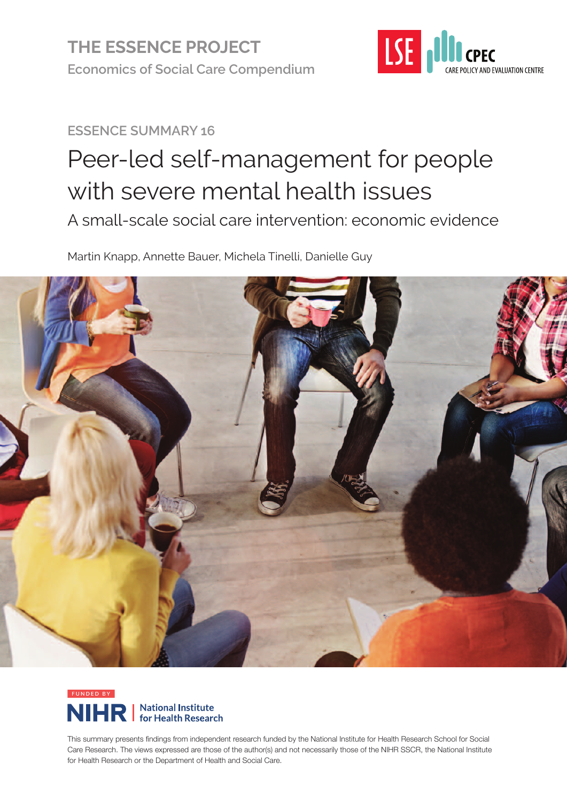

## **ESSENCE SUMMARY 16**

# Peer-led self-management for people with severe mental health issues A small-scale social care intervention: economic evidence

Martin Knapp, Annette Bauer, Michela Tinelli, Danielle Guy





This summary presents findings from independent research funded by the National Institute for Health Research School for Social Care Research. The views expressed are those of the author(s) and not necessarily those of the NIHR SSCR, the National Institute for Health Research or the Department of Health and Social Care.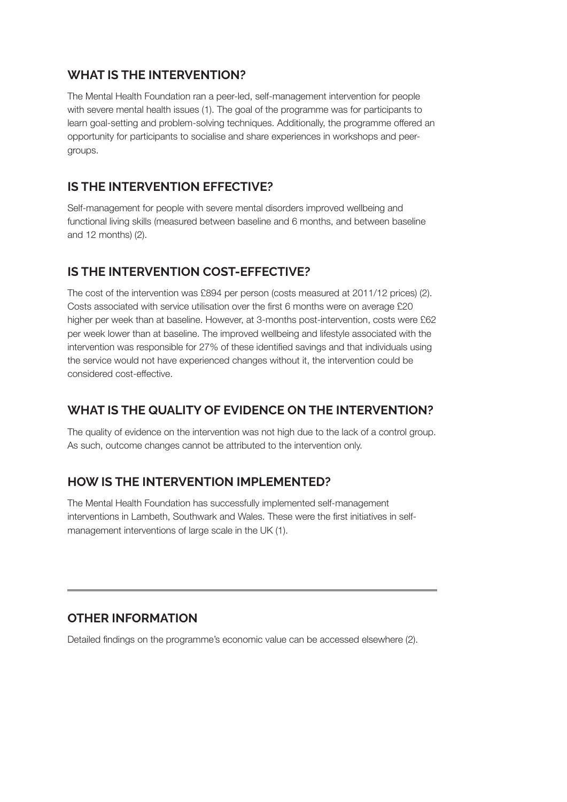#### **WHAT IS THE INTERVENTION?**

The Mental Health Foundation ran a peer-led, self-management intervention for people with severe mental health issues (1). The goal of the programme was for participants to learn goal-setting and problem-solving techniques. Additionally, the programme offered an opportunity for participants to socialise and share experiences in workshops and peergroups.

#### **IS THE INTERVENTION EFFECTIVE?**

Self-management for people with severe mental disorders improved wellbeing and functional living skills (measured between baseline and 6 months, and between baseline and 12 months) (2).

#### **IS THE INTERVENTION COST-EFFECTIVE?**

The cost of the intervention was £894 per person (costs measured at 2011/12 prices) (2). Costs associated with service utilisation over the first 6 months were on average £20 higher per week than at baseline. However, at 3-months post-intervention, costs were £62 per week lower than at baseline. The improved wellbeing and lifestyle associated with the intervention was responsible for 27% of these identified savings and that individuals using the service would not have experienced changes without it, the intervention could be considered cost-effective.

#### **WHAT IS THE QUALITY OF EVIDENCE ON THE INTERVENTION?**

The quality of evidence on the intervention was not high due to the lack of a control group. As such, outcome changes cannot be attributed to the intervention only.

#### **HOW IS THE INTERVENTION IMPLEMENTED?**

The Mental Health Foundation has successfully implemented self-management interventions in Lambeth, Southwark and Wales. These were the first initiatives in selfmanagement interventions of large scale in the UK (1).

#### **OTHER INFORMATION**

Detailed findings on the programme's economic value can be accessed elsewhere (2).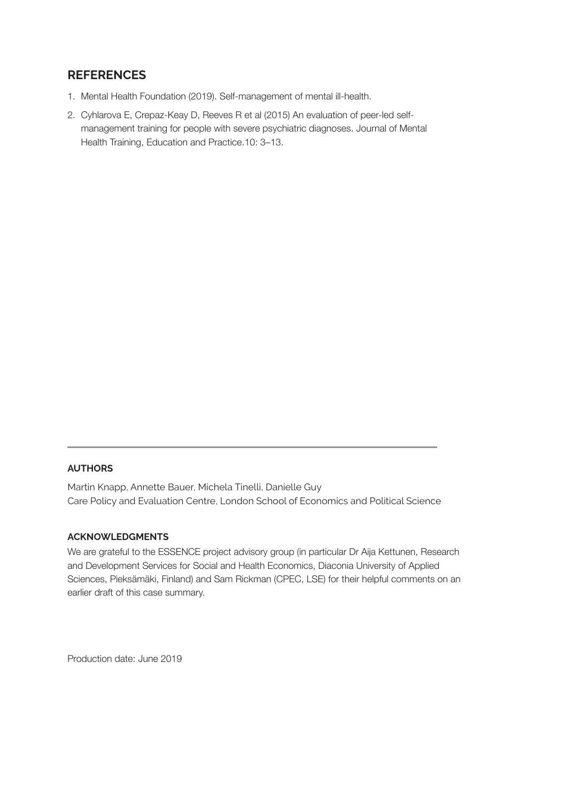#### **REFERENCES**

- 1. Mental Health Foundation (2019). Self-management of mental ill-health.
- 2. Cyhlarova E, Crepaz-Keay D, Reeves R et al (2015) An evaluation of peer-led selfmanagement training for people with severe psychiatric diagnoses. Journal of Mental Health Training, Education and Practice.10: 3–13.

#### **AUTHORS**

Martin Knapp, Annette Bauer, Michela Tinelli, Danielle Guy Care Policy and Evaluation Centre, London School of Economics and Political Science

#### **ACKNOWLEDGMENTS**

We are grateful to the ESSENCE project advisory group (in particular Dr Aija Kettunen, Research and Development Services for Social and Health Economics, Diaconia University of Applied Sciences, Pieksämäki, Finland) and Sam Rickman (CPEC, LSE) for their helpful comments on an earlier draft of this case summary.

Production date: June 2019